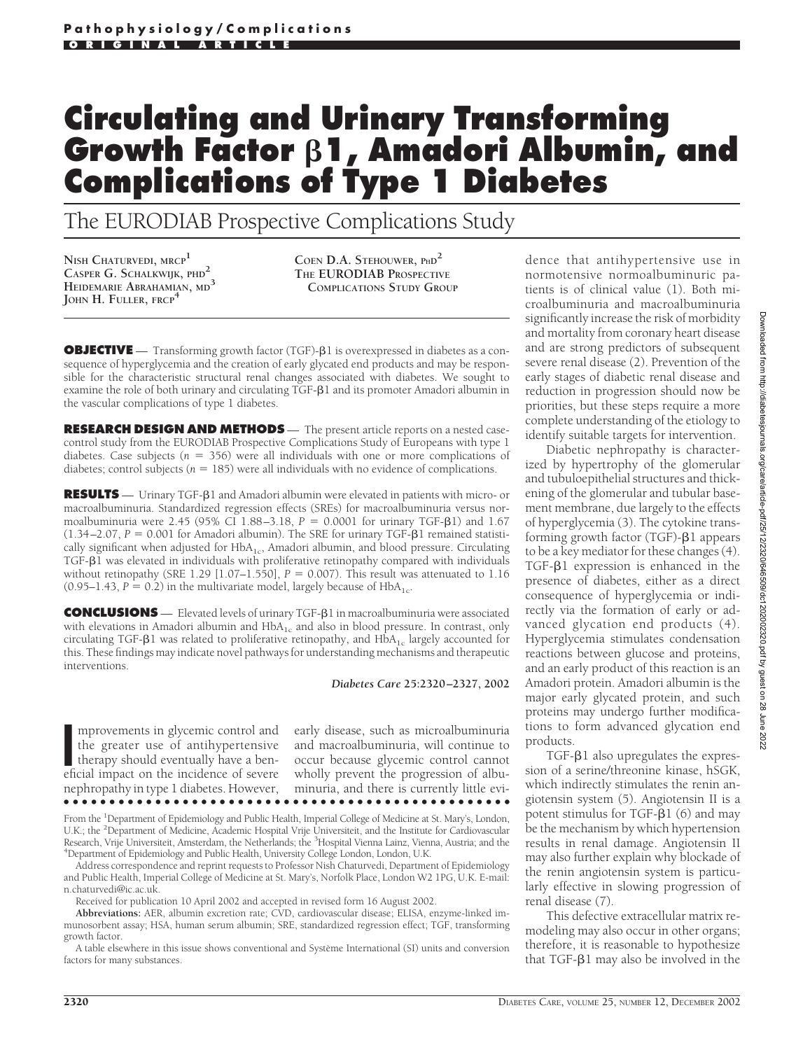# **Circulating and Urinary Transforming Growth Factor 1, Amadori Albumin, and Complications of Type 1 Diabetes**

The EURODIAB Prospective Complications Study

**NISH CHATURVEDI, MRCP<sup>1</sup> CASPER G. SCHALKWIJK, PHD<sup>2</sup> HEIDEMARIE ABRAHAMIAN, MD<sup>3</sup> JOHN H. FULLER, FRCP<sup>4</sup>**

**COEN D.A. STEHOUWER, PHD2 THE EURODIAB PROSPECTIVE COMPLICATIONS STUDY GROUP**

**OBJECTIVE** — Transforming growth factor (TGF)- $\beta$ 1 is overexpressed in diabetes as a consequence of hyperglycemia and the creation of early glycated end products and may be responsible for the characteristic structural renal changes associated with diabetes. We sought to examine the role of both urinary and circulating  $TGF- $\beta$ 1$  and its promoter Amadori albumin in the vascular complications of type 1 diabetes.

**RESEARCH DESIGN AND METHODS** — The present article reports on a nested casecontrol study from the EURODIAB Prospective Complications Study of Europeans with type 1 diabetes. Case subjects ( $n = 356$ ) were all individuals with one or more complications of diabetes; control subjects ( $n = 185$ ) were all individuals with no evidence of complications.

**RESULTS** — Urinary TGF-81 and Amadori albumin were elevated in patients with micro- or macroalbuminuria. Standardized regression effects (SREs) for macroalbuminuria versus normoalbuminuria were 2.45 (95% CI 1.88–3.18, *P* = 0.0001 for urinary TGF-β1) and 1.67  $(1.34 - 2.07, P = 0.001$  for Amadori albumin). The SRE for urinary TGF- $\beta$ 1 remained statistically significant when adjusted for  $HbA_{1c}$ , Amadori albumin, and blood pressure. Circulating  $TGF- $\beta$ 1 was elevated in individuals with proliferative retinopathy compared with individuals$ without retinopathy (SRE  $1.29$  [ $1.07-1.550$ ],  $P = 0.007$ ). This result was attenuated to  $1.16$  $(0.95-1.43, P = 0.2)$  in the multivariate model, largely because of HbA<sub>1c</sub>.

**CONCLUSIONS** — Elevated levels of urinary TGF- $\beta$ 1 in macroalbuminuria were associated with elevations in Amadori albumin and  $HbA_{1c}$  and also in blood pressure. In contrast, only circulating TGF- $\beta$ 1 was related to proliferative retinopathy, and HbA<sub>1c</sub> largely accounted for this. These findings may indicate novel pathways for understanding mechanisms and therapeutic interventions.

*Diabetes Care* **25:2320–2327, 2002**

mprovements in glycemic control and<br>the greater use of antihypertensive<br>therapy should eventually have a ben-<br>eficial impact on the incidence of severe mprovements in glycemic control and the greater use of antihypertensive therapy should eventually have a bennephropathy in type 1 diabetes. However, early disease, such as microalbuminuria and macroalbuminuria, will continue to occur because glycemic control cannot wholly prevent the progression of albuminuria, and there is currently little evi-

●●●●●●●●●●●●●●●●●●●●●●●●●●●●●●●●●●●●●●●●●●●●●●●●●

From the <sup>1</sup>Department of Epidemiology and Public Health, Imperial College of Medicine at St. Mary's, London, U.K.; the <sup>2</sup> Department of Medicine, Academic Hospital Vrije Universiteit, and the Institute for Cardiovascular Research, Vrije Universiteit, Amsterdam, the Netherlands; the <sup>3</sup>Hospital Vienna Lainz, Vienna, Austria; and the<br><sup>4</sup>Department of Epidemiology and Public Health University College London, London, U.K. Department of Epidemiology and Public Health, University College London, London, U.K.

Address correspondence and reprint requests to Professor Nish Chaturvedi, Department of Epidemiology and Public Health, Imperial College of Medicine at St. Mary's, Norfolk Place, London W2 1PG, U.K. E-mail: n.chaturvedi@ic.ac.uk.

Received for publication 10 April 2002 and accepted in revised form 16 August 2002.

**Abbreviations:** AER, albumin excretion rate; CVD, cardiovascular disease; ELISA, enzyme-linked immunosorbent assay; HSA, human serum albumin; SRE, standardized regression effect; TGF, transforming growth factor.

A table elsewhere in this issue shows conventional and Système International (SI) units and conversion factors for many substances.

dence that antihypertensive use in normotensive normoalbuminuric patients is of clinical value (1). Both microalbuminuria and macroalbuminuria significantly increase the risk of morbidity and mortality from coronary heart disease and are strong predictors of subsequent severe renal disease (2). Prevention of the early stages of diabetic renal disease and reduction in progression should now be priorities, but these steps require a more complete understanding of the etiology to identify suitable targets for intervention.

Diabetic nephropathy is characterized by hypertrophy of the glomerular and tubuloepithelial structures and thickening of the glomerular and tubular basement membrane, due largely to the effects of hyperglycemia (3). The cytokine transforming growth factor (TGF)- $\beta$ 1 appears to be a key mediator for these changes (4).  $TGF- $\beta$ 1 expression is enhanced in the$ presence of diabetes, either as a direct consequence of hyperglycemia or indirectly via the formation of early or advanced glycation end products (4). Hyperglycemia stimulates condensation reactions between glucose and proteins, and an early product of this reaction is an Amadori protein. Amadori albumin is the major early glycated protein, and such proteins may undergo further modifications to form advanced glycation end products.

 $TGF- $\beta$ 1 also upregulates the expres$ sion of a serine/threonine kinase, hSGK, which indirectly stimulates the renin angiotensin system (5). Angiotensin II is a potent stimulus for TGF- $\beta$ 1 (6) and may be the mechanism by which hypertension results in renal damage. Angiotensin II may also further explain why blockade of the renin angiotensin system is particularly effective in slowing progression of renal disease (7).

This defective extracellular matrix remodeling may also occur in other organs; therefore, it is reasonable to hypothesize that TGF- $\beta$ 1 may also be involved in the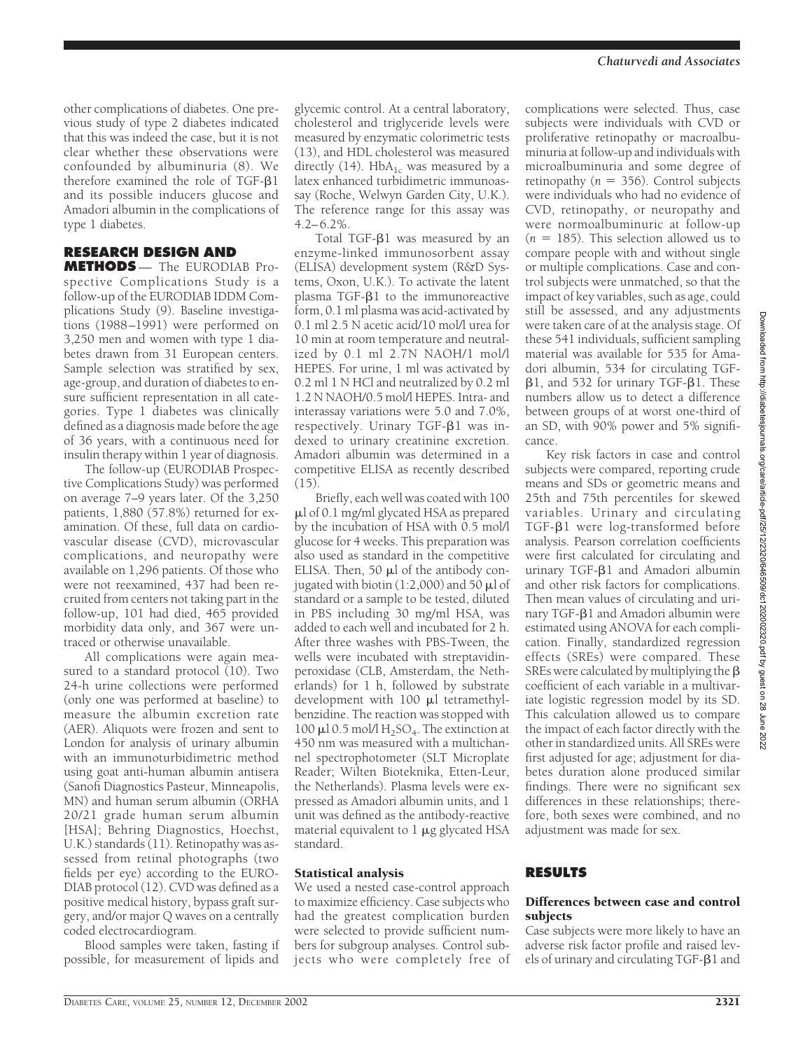other complications of diabetes. One previous study of type 2 diabetes indicated that this was indeed the case, but it is not clear whether these observations were confounded by albuminuria (8). We therefore examined the role of  $TGF- $\beta$ 1$ and its possible inducers glucose and Amadori albumin in the complications of type 1 diabetes.

# **RESEARCH DESIGN AND**

**METHODS** — The EURODIAB Prospective Complications Study is a follow-up of the EURODIAB IDDM Complications Study (9). Baseline investigations (1988–1991) were performed on 3,250 men and women with type 1 diabetes drawn from 31 European centers. Sample selection was stratified by sex, age-group, and duration of diabetes to ensure sufficient representation in all categories. Type 1 diabetes was clinically defined as a diagnosis made before the age of 36 years, with a continuous need for insulin therapy within 1 year of diagnosis.

The follow-up (EURODIAB Prospective Complications Study) was performed on average 7–9 years later. Of the 3,250 patients, 1,880 (57.8%) returned for examination. Of these, full data on cardiovascular disease (CVD), microvascular complications, and neuropathy were available on 1,296 patients. Of those who were not reexamined, 437 had been recruited from centers not taking part in the follow-up, 101 had died, 465 provided morbidity data only, and 367 were untraced or otherwise unavailable.

All complications were again measured to a standard protocol (10). Two 24-h urine collections were performed (only one was performed at baseline) to measure the albumin excretion rate (AER). Aliquots were frozen and sent to London for analysis of urinary albumin with an immunoturbidimetric method using goat anti-human albumin antisera (Sanofi Diagnostics Pasteur, Minneapolis, MN) and human serum albumin (ORHA 20/21 grade human serum albumin [HSA]; Behring Diagnostics, Hoechst, U.K.) standards (11). Retinopathy was assessed from retinal photographs (two fields per eye) according to the EURO-DIAB protocol (12). CVD was defined as a positive medical history, bypass graft surgery, and/or major Q waves on a centrally coded electrocardiogram.

Blood samples were taken, fasting if possible, for measurement of lipids and

glycemic control. At a central laboratory, cholesterol and triglyceride levels were measured by enzymatic colorimetric tests (13), and HDL cholesterol was measured directly (14). Hb $A_{1c}$  was measured by a latex enhanced turbidimetric immunoassay (Roche, Welwyn Garden City, U.K.). The reference range for this assay was  $4.2 - 6.2\%$ .

Total TGF- $\beta$ 1 was measured by an enzyme-linked immunosorbent assay (ELISA) development system (R&D Systems, Oxon, U.K.). To activate the latent  $plasma TGF- $\beta$ 1 to the immunoreactive$ form, 0.1 ml plasma was acid-activated by 0.1 ml 2.5 N acetic acid/10 mol/l urea for 10 min at room temperature and neutralized by 0.1 ml 2.7N NAOH/1 mol/l HEPES. For urine, 1 ml was activated by 0.2 ml 1 N HCl and neutralized by 0.2 ml 1.2 N NAOH/0.5 mol/l HEPES. Intra- and interassay variations were 5.0 and 7.0%, respectively. Urinary  $TGF- $\beta$ 1 was in$ dexed to urinary creatinine excretion. Amadori albumin was determined in a competitive ELISA as recently described (15).

Briefly, each well was coated with 100 l of 0.1 mg/ml glycated HSA as prepared by the incubation of HSA with 0.5 mol/l glucose for 4 weeks. This preparation was also used as standard in the competitive ELISA. Then, 50  $\mu$ l of the antibody conjugated with biotin (1:2,000) and 50  $\mu$ l of standard or a sample to be tested, diluted in PBS including 30 mg/ml HSA, was added to each well and incubated for 2 h. After three washes with PBS-Tween, the wells were incubated with streptavidinperoxidase (CLB, Amsterdam, the Netherlands) for 1 h, followed by substrate development with  $100 \mu l$  tetramethylbenzidine. The reaction was stopped with 100  $\mu$ l 0.5 mol/l H<sub>2</sub>SO<sub>4</sub>. The extinction at 450 nm was measured with a multichannel spectrophotometer (SLT Microplate Reader; Wilten Bioteknika, Etten-Leur, the Netherlands). Plasma levels were expressed as Amadori albumin units, and 1 unit was defined as the antibody-reactive material equivalent to  $1 \mu$ g glycated HSA standard.

## Statistical analysis

We used a nested case-control approach to maximize efficiency. Case subjects who had the greatest complication burden were selected to provide sufficient numbers for subgroup analyses. Control subjects who were completely free of

complications were selected. Thus, case subjects were individuals with CVD or proliferative retinopathy or macroalbuminuria at follow-up and individuals with microalbuminuria and some degree of retinopathy ( $n = 356$ ). Control subjects were individuals who had no evidence of CVD, retinopathy, or neuropathy and were normoalbuminuric at follow-up  $(n = 185)$ . This selection allowed us to compare people with and without single or multiple complications. Case and control subjects were unmatched, so that the impact of key variables, such as age, could still be assessed, and any adjustments were taken care of at the analysis stage. Of these 541 individuals, sufficient sampling material was available for 535 for Amadori albumin, 534 for circulating TGF-  $\beta$ 1, and 532 for urinary TGF- $\beta$ 1. These numbers allow us to detect a difference between groups of at worst one-third of an SD, with 90% power and 5% significance.

Key risk factors in case and control subjects were compared, reporting crude means and SDs or geometric means and 25th and 75th percentiles for skewed variables. Urinary and circulating TGF- $\beta$ 1 were log-transformed before analysis. Pearson correlation coefficients were first calculated for circulating and urinary TGF- $\beta$ 1 and Amadori albumin and other risk factors for complications. Then mean values of circulating and urinary TGF- $\beta$ 1 and Amadori albumin were estimated using ANOVA for each complication. Finally, standardized regression effects (SREs) were compared. These SREs were calculated by multiplying the  $\beta$ coefficient of each variable in a multivariate logistic regression model by its SD. This calculation allowed us to compare the impact of each factor directly with the other in standardized units. All SREs were first adjusted for age; adjustment for diabetes duration alone produced similar findings. There were no significant sex differences in these relationships; therefore, both sexes were combined, and no adjustment was made for sex.

## **RESULTS**

## Differences between case and control subjects

Case subjects were more likely to have an adverse risk factor profile and raised levels of urinary and circulating TGF- $\beta$ 1 and

Downloaded from http://diabetesjournals.org/care/article-pdf/25/12/2320/646509/dc1202002320.pdf by guest on 28 June 2022Downloaded from http://diabetesjournals.org/care/article-pdf/25/12/2320/646509/dc120202020.pdf by guest on 28 June 2022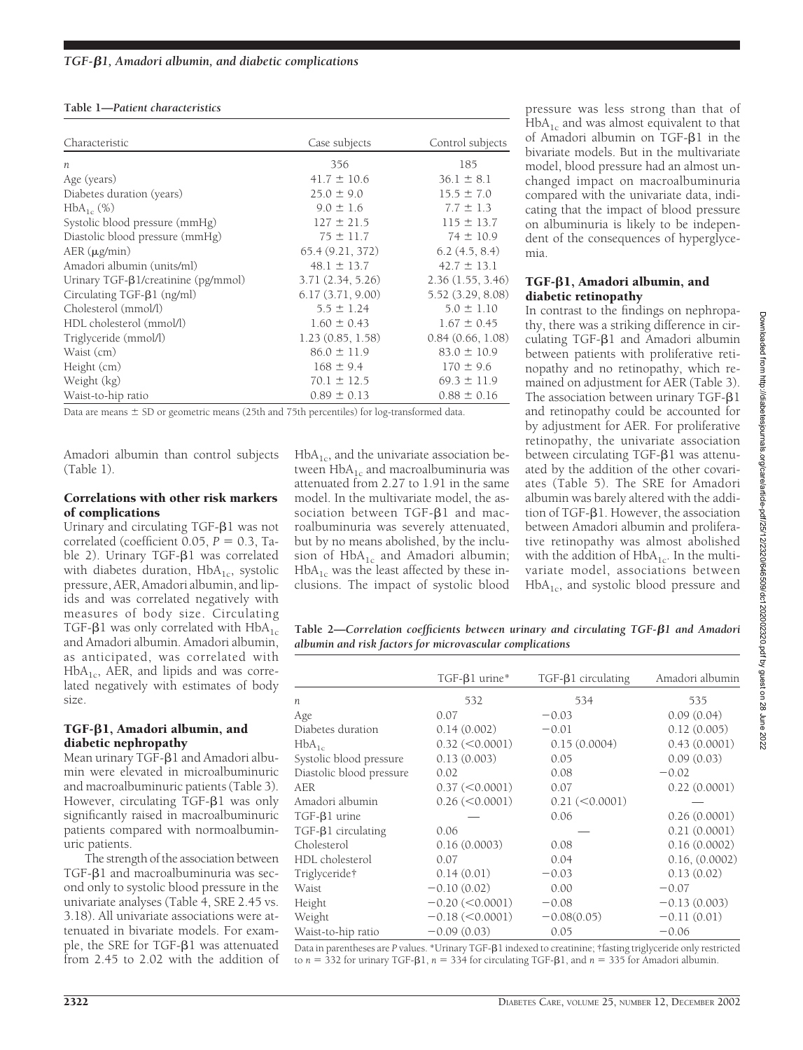### **Table 1—***Patient characteristics*

| Characteristic                            | Case subjects    | Control subjects  |
|-------------------------------------------|------------------|-------------------|
| $\boldsymbol{n}$                          | 356              | 185               |
| Age (years)                               | $41.7 \pm 10.6$  | $36.1 \pm 8.1$    |
| Diabetes duration (years)                 | $25.0 \pm 9.0$   | $15.5 \pm 7.0$    |
| $HbA_{1c}$ (%)                            | $9.0 \pm 1.6$    | $7.7 \pm 1.3$     |
| Systolic blood pressure (mmHg)            | $127 \pm 21.5$   | $115 \pm 13.7$    |
| Diastolic blood pressure (mmHg)           | $75 \pm 11.7$    | $74 \pm 10.9$     |
| $AER$ ( $\mu$ g/min)                      | 65.4(9.21, 372)  | 6.2(4.5, 8.4)     |
| Amadori albumin (units/ml)                | $48.1 \pm 13.7$  | $42.7 \pm 13.1$   |
| Urinary $TGF-\beta1/creatinine (pg/mmol)$ | 3.71(2.34, 5.26) | 2.36(1.55, 3.46)  |
| Circulating $TGF-\beta1 (ng/ml)$          | 6.17(3.71, 9.00) | 5.52 (3.29, 8.08) |
| Cholesterol (mmol/l)                      | $5.5 \pm 1.24$   | $5.0 \pm 1.10$    |
| HDL cholesterol (mmol/l)                  | $1.60 \pm 0.43$  | $1.67 \pm 0.45$   |
| Triglyceride (mmol/l)                     | 1.23(0.85, 1.58) | 0.84(0.66, 1.08)  |
| Waist (cm)                                | $86.0 \pm 11.9$  | $83.0 \pm 10.9$   |
| Height (cm)                               | $168 \pm 9.4$    | $170 \pm 9.6$     |
| Weight (kg)                               | $70.1 \pm 12.5$  | $69.3 \pm 11.9$   |
| Waist-to-hip ratio                        | $0.89 \pm 0.13$  | $0.88 \pm 0.16$   |

Data are means  $\pm$  SD or geometric means (25th and 75th percentiles) for log-transformed data.

Amadori albumin than control subjects (Table 1).

### Correlations with other risk markers of complications

Urinary and circulating  $TGF- $\beta$ 1 was not$ correlated (coefficient  $0.05$ ,  $P = 0.3$ , Table 2). Urinary TGF- $\beta$ 1 was correlated with diabetes duration,  $HbA_{1c}$ , systolic pressure, AER, Amadori albumin, and lipids and was correlated negatively with measures of body size. Circulating TGF- $\beta$ 1 was only correlated with HbA<sub>1c</sub> and Amadori albumin. Amadori albumin, as anticipated, was correlated with  $HbA_{1c}$ , AER, and lipids and was correlated negatively with estimates of body size.

#### TGF- $\beta$ 1, Amadori albumin, and diabetic nephropathy

Mean urinary TGF- $\beta$ 1 and Amadori albumin were elevated in microalbuminuric and macroalbuminuric patients (Table 3). However, circulating  $TGF- $\beta$ 1 was only$ significantly raised in macroalbuminuric patients compared with normoalbuminuric patients.

The strength of the association between  $TGF- $\beta$ 1 and macroalbuminuria was sec$ ond only to systolic blood pressure in the univariate analyses (Table 4, SRE 2.45 vs. 3.18). All univariate associations were attenuated in bivariate models. For example, the SRE for  $TGF- $\beta$ 1 was attenuated$ from 2.45 to 2.02 with the addition of  $HbA_{1c}$ , and the univariate association between  $HbA_{1c}$  and macroalbuminuria was attenuated from 2.27 to 1.91 in the same model. In the multivariate model, the association between  $TGF- $\beta$ 1 and mac$ roalbuminuria was severely attenuated, but by no means abolished, by the inclusion of  $HbA_{1c}$  and Amadori albumin;  $HbA_{1c}$  was the least affected by these inclusions. The impact of systolic blood

pressure was less strong than that of  $HbA_{1c}$  and was almost equivalent to that of Amadori albumin on TGF- $\beta$ 1 in the bivariate models. But in the multivariate model, blood pressure had an almost unchanged impact on macroalbuminuria compared with the univariate data, indicating that the impact of blood pressure on albuminuria is likely to be independent of the consequences of hyperglycemia.

## $TGF- $\beta$ 1, Amadori albumin, and$ diabetic retinopathy

In contrast to the findings on nephropathy, there was a striking difference in circulating  $TGF- $\beta$ 1 and Amadori albumin$ between patients with proliferative retinopathy and no retinopathy, which remained on adjustment for AER (Table 3). The association between urinary  $TGF- $\beta$ 1$ and retinopathy could be accounted for by adjustment for AER. For proliferative retinopathy, the univariate association between circulating TGF- $\beta$ 1 was attenuated by the addition of the other covariates (Table 5). The SRE for Amadori albumin was barely altered with the addition of TGF- $\beta$ 1. However, the association between Amadori albumin and proliferative retinopathy was almost abolished with the addition of  $HbA_{1c}$ . In the multivariate model, associations between  $HbA<sub>1c</sub>$ , and systolic blood pressure and

**Table 2—***Correlation coefficients between urinary and circulating TGF-1 and Amadori albumin and risk factors for microvascular complications*

|                          | $TGF-\betal urine*$  | $TGF-\beta1 circulating$ | Amadori albumin |
|--------------------------|----------------------|--------------------------|-----------------|
| $\boldsymbol{n}$         | 532                  | 534                      | 535             |
| Age                      | 0.07                 | $-0.03$                  | 0.09(0.04)      |
| Diabetes duration        | 0.14(0.002)          | $-0.01$                  | 0.12(0.005)     |
| $HbA_{1c}$               | $0.32 \, (< 0.0001)$ | 0.15(0.0004)             | 0.43(0.0001)    |
| Systolic blood pressure  | 0.13(0.003)          | 0.05                     | 0.09(0.03)      |
| Diastolic blood pressure | 0.02                 | 0.08                     | $-0.02$         |
| <b>AER</b>               | $0.37 \, (< 0.0001)$ | 0.07                     | 0.22(0.0001)    |
| Amadori albumin          | $0.26 \, (< 0.0001)$ | $0.21 \le 0.0001$        |                 |
| $TGF-\betal urine$       |                      | 0.06                     | 0.26(0.0001)    |
| $TGF-\beta1 circulating$ | 0.06                 |                          | 0.21(0.0001)    |
| Cholesterol              | 0.16(0.0003)         | 0.08                     | 0.16(0.0002)    |
| HDL cholesterol          | 0.07                 | 0.04                     | 0.16, (0.0002)  |
| Triglyceride†            | 0.14(0.01)           | $-0.03$                  | 0.13(0.02)      |
| Waist                    | $-0.10(0.02)$        | 0.00                     | $-0.07$         |
| Height                   | $-0.20 \le 0.0001$   | $-0.08$                  | $-0.13(0.003)$  |
| Weight                   | $-0.18 (< 0.0001)$   | $-0.08(0.05)$            | $-0.11(0.01)$   |
| Waist-to-hip ratio       | $-0.09(0.03)$        | 0.05                     | $-0.06$         |

Data in parentheses are *P* values. \*Urinary TGF- $\beta$ 1 indexed to creatinine; †fasting triglyceride only restricted to  $n = 332$  for urinary TGF- $\beta 1$ ,  $n = 334$  for circulating TGF- $\beta 1$ , and  $n = 335$  for Amadori albumin.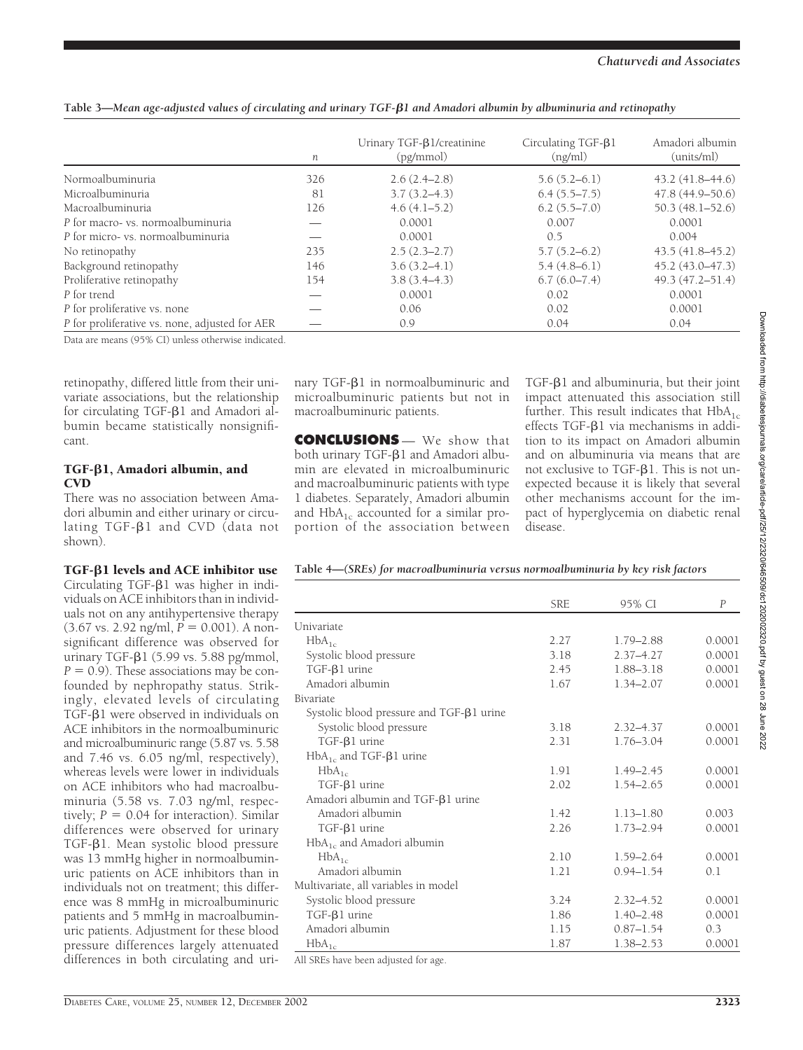|  |  |  | Table 3—Mean age-adjusted values of circulating and urinary TGF- $\beta$ 1 and Amadori albumin by albuminuria and retinopathy |  |
|--|--|--|-------------------------------------------------------------------------------------------------------------------------------|--|
|--|--|--|-------------------------------------------------------------------------------------------------------------------------------|--|

|                                                | п   | Urinary TGF-B1/creatinine<br>(pg/mmol) | Circulating $TGF-\beta1$<br>(ng/ml) | Amadori albumin<br>(units/ml) |
|------------------------------------------------|-----|----------------------------------------|-------------------------------------|-------------------------------|
| Normoalbuminuria                               | 326 | $2.6(2.4-2.8)$                         | $5.6(5.2-6.1)$                      | $43.2(41.8 - 44.6)$           |
| Microalbuminuria                               | 81  | $3.7(3.2 - 4.3)$                       | $6.4(5.5 - 7.5)$                    | $47.8(44.9 - 50.6)$           |
| Macroalbuminuria                               | 126 | $4.6(4.1-5.2)$                         | $6.2(5.5 - 7.0)$                    | $50.3(48.1 - 52.6)$           |
| P for macro- vs. normoalbuminuria              |     | 0.0001                                 | 0.007                               | 0.0001                        |
| P for micro- vs. normoalbuminuria              |     | 0.0001                                 | 0.5                                 | 0.004                         |
| No retinopathy                                 | 235 | $2.5(2.3-2.7)$                         | $5.7(5.2 - 6.2)$                    | $43.5(41.8 - 45.2)$           |
| Background retinopathy                         | 146 | $3.6(3.2-4.1)$                         | $5.4(4.8-6.1)$                      | $45.2(43.0 - 47.3)$           |
| Proliferative retinopathy                      | 154 | $3.8(3.4 - 4.3)$                       | 6.7(6.0–7.4)                        | $49.3(47.2 - 51.4)$           |
| P for trend                                    |     | 0.0001                                 | 0.02                                | 0.0001                        |
| P for proliferative vs. none                   |     | 0.06                                   | 0.02                                | 0.0001                        |
| P for proliferative vs. none, adjusted for AER |     | 0.9                                    | 0.04                                | 0.04                          |

Data are means (95% CI) unless otherwise indicated.

retinopathy, differed little from their univariate associations, but the relationship for circulating  $TGF- $\beta$ 1 and Amadori al$ bumin became statistically nonsignificant.

# TGF- $\beta$ 1, Amadori albumin, and **CVD**

There was no association between Amadori albumin and either urinary or circulating  $TGF- $\beta$ 1 and CVD (data not$ shown).

# $TGF- $\beta$ 1 levels and ACE inhibitor use$

Circulating  $TGF- $\beta$ 1 was higher in indi$ viduals on ACE inhibitors than in individuals not on any antihypertensive therapy  $(3.67 \text{ vs. } 2.92 \text{ ng/ml}, P = 0.001)$ . A nonsignificant difference was observed for urinary TGF- $\beta$ 1 (5.99 vs. 5.88 pg/mmol,  $P = 0.9$ ). These associations may be confounded by nephropathy status. Strikingly, elevated levels of circulating TGF- $\beta$ 1 were observed in individuals on ACE inhibitors in the normoalbuminuric and microalbuminuric range (5.87 vs. 5.58 and 7.46 vs. 6.05 ng/ml, respectively), whereas levels were lower in individuals on ACE inhibitors who had macroalbuminuria (5.58 vs. 7.03 ng/ml, respectively;  $P = 0.04$  for interaction). Similar differences were observed for urinary TGF- $\beta$ 1. Mean systolic blood pressure was 13 mmHg higher in normoalbuminuric patients on ACE inhibitors than in individuals not on treatment; this difference was 8 mmHg in microalbuminuric patients and 5 mmHg in macroalbuminuric patients. Adjustment for these blood pressure differences largely attenuated differences in both circulating and urinary TGF- $\beta$ 1 in normoalbuminuric and microalbuminuric patients but not in macroalbuminuric patients.

**CONCLUSIONS** — We show that both urinary TGF- $\beta$ 1 and Amadori albumin are elevated in microalbuminuric and macroalbuminuric patients with type 1 diabetes. Separately, Amadori albumin and  $HbA_{1c}$  accounted for a similar proportion of the association between  $TGF- $\beta$ 1 and albuminuria, but their joint$ impact attenuated this association still further. This result indicates that  $HbA_{1c}$ effects TGF- $\beta$ 1 via mechanisms in addition to its impact on Amadori albumin and on albuminuria via means that are not exclusive to TGF- $\beta$ 1. This is not unexpected because it is likely that several other mechanisms account for the impact of hyperglycemia on diabetic renal disease.

# **Table 4—***(SREs) for macroalbuminuria versus normoalbuminuria by key risk factors*

|                                                | <b>SRE</b> | 95% CI        | $\overline{P}$ |
|------------------------------------------------|------------|---------------|----------------|
| Univariate                                     |            |               |                |
| $HbA_{1c}$                                     | 2.27       | $1.79 - 2.88$ | 0.0001         |
| Systolic blood pressure                        | 3.18       | $2.37 - 4.27$ | 0.0001         |
| $TGF-\betal urine$                             | 2.45       | 1.88-3.18     | 0.0001         |
| Amadori albumin                                | 1.67       | $1.34 - 2.07$ | 0.0001         |
| Bivariate                                      |            |               |                |
| Systolic blood pressure and $TGF-\beta1 urine$ |            |               |                |
| Systolic blood pressure                        | 3.18       | $2.32 - 4.37$ | 0.0001         |
| $TGF-\betal urine$                             | 2.31       | $1.76 - 3.04$ | 0.0001         |
| $HbA_{1c}$ and TGF- $\beta$ 1 urine            |            |               |                |
| $HbA_{1c}$                                     | 1.91       | $1.49 - 2.45$ | 0.0001         |
| $TGF-\beta1 urine$                             | 2.02       | $1.54 - 2.65$ | 0.0001         |
| Amadori albumin and TGF-B1 urine               |            |               |                |
| Amadori albumin                                | 1.42       | $1.13 - 1.80$ | 0.003          |
| $TGF-\betal urine$                             | 2.26       | $1.73 - 2.94$ | 0.0001         |
| $HbA_{1c}$ and Amadori albumin                 |            |               |                |
| $HbA_{1c}$                                     | 2.10       | $1.59 - 2.64$ | 0.0001         |
| Amadori albumin                                | 1.21       | $0.94 - 1.54$ | 0.1            |
| Multivariate, all variables in model           |            |               |                |
| Systolic blood pressure                        | 3.24       | $2.32 - 4.52$ | 0.0001         |
| $TGF-\betal urine$                             | 1.86       | $1.40 - 2.48$ | 0.0001         |
| Amadori albumin                                | 1.15       | $0.87 - 1.54$ | 0.3            |
| $HbA_{1c}$                                     | 1.87       | 1.38-2.53     | 0.0001         |
| All SREs have been adjusted for age            |            |               |                |

All SREs have been adjusted for age.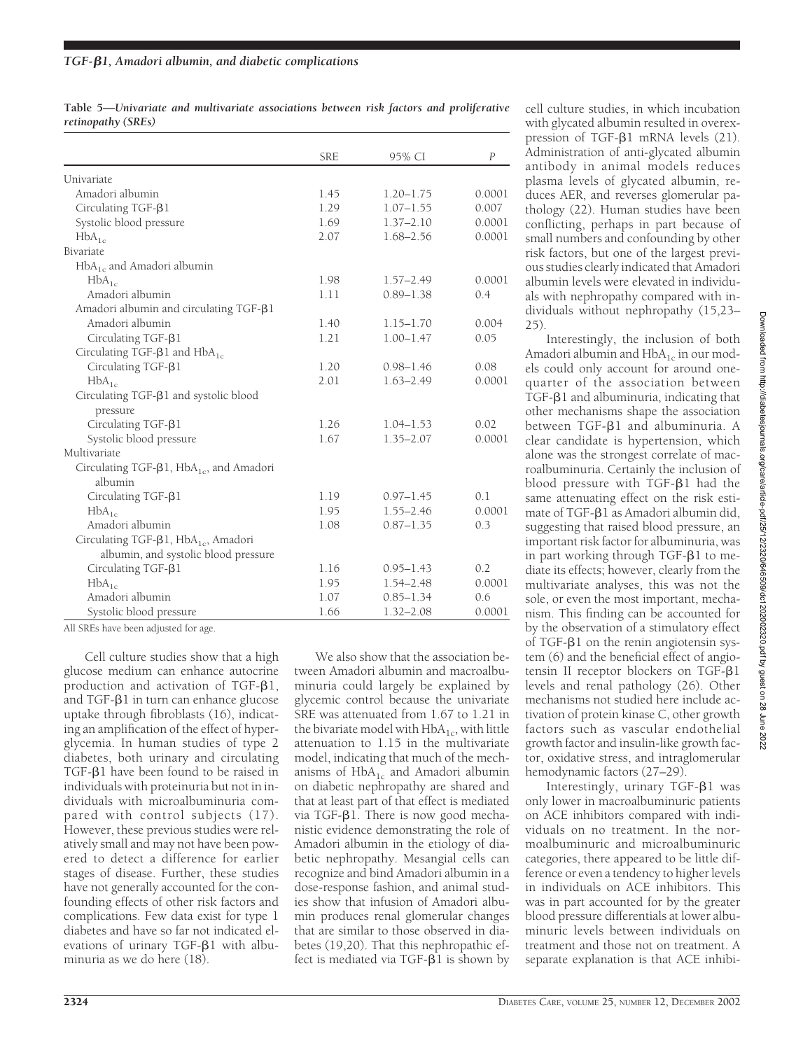**Table 5—***Univariate and multivariate associations between risk factors and proliferative retinopathy (SREs)*

|                                                     | <b>SRE</b> | 95% CI        | P      |
|-----------------------------------------------------|------------|---------------|--------|
| Univariate                                          |            |               |        |
| Amadori albumin                                     | 1.45       | $1.20 - 1.75$ | 0.0001 |
| Circulating TGF-B1                                  | 1.29       | $1.07 - 1.55$ | 0.007  |
| Systolic blood pressure                             | 1.69       | $1.37 - 2.10$ | 0.0001 |
| $HbA_{1c}$                                          | 2.07       | 1.68-2.56     | 0.0001 |
| Bivariate                                           |            |               |        |
| $HbA_{1c}$ and Amadori albumin                      |            |               |        |
| $HbA_{1c}$                                          | 1.98       | $1.57 - 2.49$ | 0.0001 |
| Amadori albumin                                     | 1.11       | $0.89 - 1.38$ | 0.4    |
| Amadori albumin and circulating TGF-β1              |            |               |        |
| Amadori albumin                                     | 1.40       | $1.15 - 1.70$ | 0.004  |
| Circulating TGF- $\beta$ 1                          | 1.21       | $1.00 - 1.47$ | 0.05   |
| Circulating TGF- $\beta$ 1 and HbA <sub>1c</sub>    |            |               |        |
| Circulating TGF-B1                                  | 1.20       | $0.98 - 1.46$ | 0.08   |
| $HbA_{1c}$                                          | 2.01       | $1.63 - 2.49$ | 0.0001 |
| Circulating TGF- $\beta$ 1 and systolic blood       |            |               |        |
| pressure                                            |            |               |        |
| Circulating TGF- $\beta$ 1                          | 1.26       | $1.04 - 1.53$ | 0.02   |
| Systolic blood pressure                             | 1.67       | $1.35 - 2.07$ | 0.0001 |
| Multivariate                                        |            |               |        |
| Circulating TGF-β1, HbA <sub>1c</sub> , and Amadori |            |               |        |
| albumin                                             |            |               |        |
| Circulating $TGF-\beta1$                            | 1.19       | $0.97 - 1.45$ | 0.1    |
| $HbA_{1c}$                                          | 1.95       | $1.55 - 2.46$ | 0.0001 |
| Amadori albumin                                     | 1.08       | $0.87 - 1.35$ | 0.3    |
| Circulating TGF-β1, HbA <sub>1c</sub> , Amadori     |            |               |        |
| albumin, and systolic blood pressure                |            |               |        |
| Circulating TGF-B1                                  | 1.16       | $0.95 - 1.43$ | 0.2    |
| $HbA_{1c}$                                          | 1.95       | $1.54 - 2.48$ | 0.0001 |
| Amadori albumin                                     | 1.07       | $0.85 - 1.34$ | 0.6    |
| Systolic blood pressure                             | 1.66       | $1.32 - 2.08$ | 0.0001 |

All SREs have been adjusted for age.

Cell culture studies show that a high glucose medium can enhance autocrine production and activation of  $TGF- $\beta$ 1,$ and  $TGF- $\beta$ 1$  in turn can enhance glucose uptake through fibroblasts (16), indicating an amplification of the effect of hyperglycemia. In human studies of type 2 diabetes, both urinary and circulating TGF- $\beta$ 1 have been found to be raised in individuals with proteinuria but not in individuals with microalbuminuria compared with control subjects (17). However, these previous studies were relatively small and may not have been powered to detect a difference for earlier stages of disease. Further, these studies have not generally accounted for the confounding effects of other risk factors and complications. Few data exist for type 1 diabetes and have so far not indicated elevations of urinary  $TGF- $\beta$ 1 with albu$ minuria as we do here (18).

We also show that the association between Amadori albumin and macroalbuminuria could largely be explained by glycemic control because the univariate SRE was attenuated from 1.67 to 1.21 in the bivariate model with  $HbA_{1c}$ , with little attenuation to 1.15 in the multivariate model, indicating that much of the mechanisms of HbA<sub>1c</sub> and Amadori albumin on diabetic nephropathy are shared and that at least part of that effect is mediated via TGF- $\beta$ 1. There is now good mechanistic evidence demonstrating the role of Amadori albumin in the etiology of diabetic nephropathy. Mesangial cells can recognize and bind Amadori albumin in a dose-response fashion, and animal studies show that infusion of Amadori albumin produces renal glomerular changes that are similar to those observed in diabetes (19,20). That this nephropathic effect is mediated via  $TGF- $\beta$ 1$  is shown by

cell culture studies, in which incubation with glycated albumin resulted in overexpression of  $TGF- $\beta$ 1 mRNA levels (21).$ Administration of anti-glycated albumin antibody in animal models reduces plasma levels of glycated albumin, reduces AER, and reverses glomerular pathology (22). Human studies have been conflicting, perhaps in part because of small numbers and confounding by other risk factors, but one of the largest previous studies clearly indicated that Amadori albumin levels were elevated in individuals with nephropathy compared with individuals without nephropathy (15,23– 25).

Interestingly, the inclusion of both Amadori albumin and  $HbA_{1c}$  in our models could only account for around onequarter of the association between  $TGF- $\beta$ 1 and albuminuria, indicating that$ other mechanisms shape the association between TGF-B1 and albuminuria. A clear candidate is hypertension, which alone was the strongest correlate of macroalbuminuria. Certainly the inclusion of blood pressure with  $TGF- $\beta$ 1 had the$ same attenuating effect on the risk estimate of TGF- $\beta$ 1 as Amadori albumin did, suggesting that raised blood pressure, an important risk factor for albuminuria, was in part working through  $TGF- $\beta$ 1 to me$ diate its effects; however, clearly from the multivariate analyses, this was not the sole, or even the most important, mechanism. This finding can be accounted for by the observation of a stimulatory effect of TGF- $\beta$ 1 on the renin angiotensin system (6) and the beneficial effect of angiotensin II receptor blockers on  $TGF- $\beta$ 1$ levels and renal pathology (26). Other mechanisms not studied here include activation of protein kinase C, other growth factors such as vascular endothelial growth factor and insulin-like growth factor, oxidative stress, and intraglomerular hemodynamic factors (27–29).

Interestingly, urinary TGF- $\beta$ 1 was only lower in macroalbuminuric patients on ACE inhibitors compared with individuals on no treatment. In the normoalbuminuric and microalbuminuric categories, there appeared to be little difference or even a tendency to higher levels in individuals on ACE inhibitors. This was in part accounted for by the greater blood pressure differentials at lower albuminuric levels between individuals on treatment and those not on treatment. A separate explanation is that ACE inhibi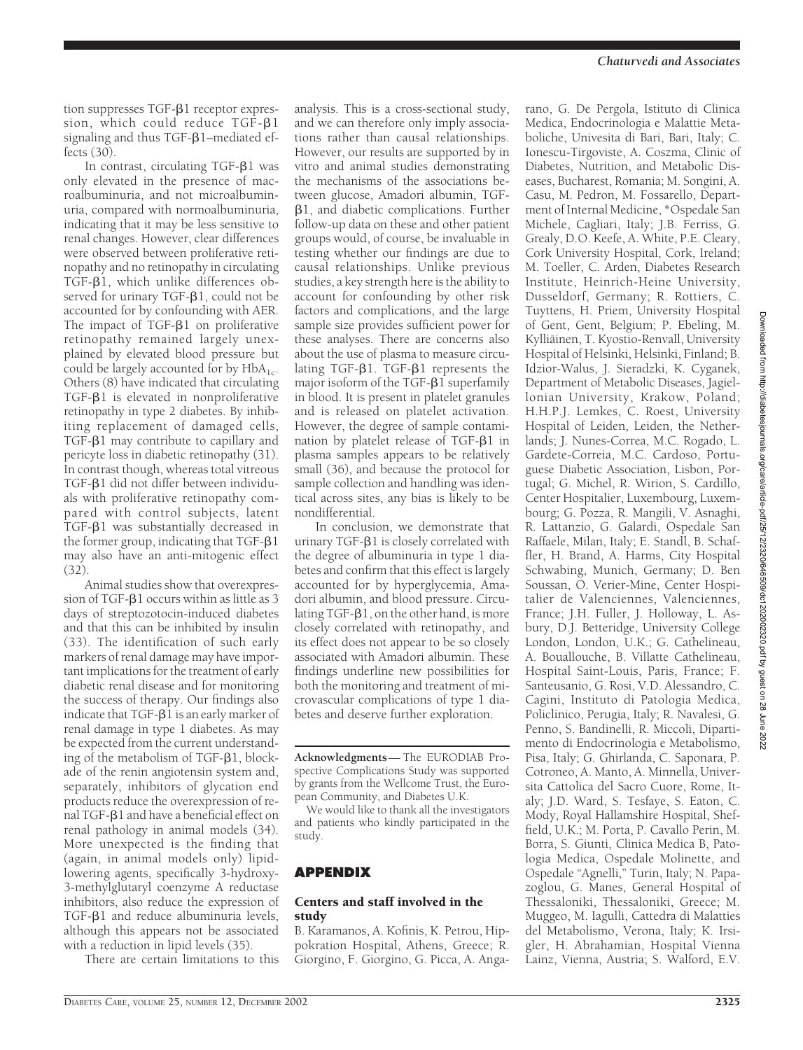tion suppresses  $TGF- $\beta$ 1 receptor expres$ sion, which could reduce  $TGF- $\beta$ 1$ signaling and thus  $TGF- $\beta$ 1–mediated ef$ fects (30).

In contrast, circulating TGF-81 was only elevated in the presence of macroalbuminuria, and not microalbuminuria, compared with normoalbuminuria, indicating that it may be less sensitive to renal changes. However, clear differences were observed between proliferative retinopathy and no retinopathy in circulating  $TGF- $\beta$ 1, which unlike differences ob$ served for urinary TGF-B1, could not be accounted for by confounding with AER. The impact of  $TGF- $\beta$ 1 on proliferative$ retinopathy remained largely unexplained by elevated blood pressure but could be largely accounted for by  $HbA_{1c}$ . Others (8) have indicated that circulating  $TGF- $\beta$ 1 is elevated in nonproliferative$ retinopathy in type 2 diabetes. By inhibiting replacement of damaged cells,  $TGF- $\beta$ 1 may contribute to capillary and$ pericyte loss in diabetic retinopathy (31). In contrast though, whereas total vitreous TGF- $\beta$ 1 did not differ between individuals with proliferative retinopathy compared with control subjects, latent  $TGF- $\beta$ 1 was substantially decreased in$ the former group, indicating that  $TGF- $\beta$ 1$ may also have an anti-mitogenic effect (32).

Animal studies show that overexpression of TGF- $\beta$ 1 occurs within as little as 3 days of streptozotocin-induced diabetes and that this can be inhibited by insulin (33). The identification of such early markers of renal damage may have important implications for the treatment of early diabetic renal disease and for monitoring the success of therapy. Our findings also indicate that  $TGF- $\beta$ 1$  is an early marker of renal damage in type 1 diabetes. As may be expected from the current understanding of the metabolism of  $TGF- $\beta$ 1, block$ ade of the renin angiotensin system and, separately, inhibitors of glycation end products reduce the overexpression of renal TGF- $\beta$ 1 and have a beneficial effect on renal pathology in animal models (34). More unexpected is the finding that (again, in animal models only) lipidlowering agents, specifically 3-hydroxy-3-methylglutaryl coenzyme A reductase inhibitors, also reduce the expression of  $TGF- $\beta$ 1 and reduce albuminuria levels,$ although this appears not be associated with a reduction in lipid levels (35).

There are certain limitations to this

analysis. This is a cross-sectional study, and we can therefore only imply associations rather than causal relationships. However, our results are supported by in vitro and animal studies demonstrating the mechanisms of the associations between glucose, Amadori albumin, TGF- 1, and diabetic complications. Further follow-up data on these and other patient groups would, of course, be invaluable in testing whether our findings are due to causal relationships. Unlike previous studies, a key strength here is the ability to account for confounding by other risk factors and complications, and the large sample size provides sufficient power for these analyses. There are concerns also about the use of plasma to measure circulating TGF- $\beta$ 1. TGF- $\beta$ 1 represents the major isoform of the TGF- $\beta$ 1 superfamily in blood. It is present in platelet granules and is released on platelet activation. However, the degree of sample contamination by platelet release of TGF- $\beta$ 1 in plasma samples appears to be relatively small (36), and because the protocol for sample collection and handling was identical across sites, any bias is likely to be nondifferential.

In conclusion, we demonstrate that urinary  $TGF- $\beta$ 1$  is closely correlated with the degree of albuminuria in type 1 diabetes and confirm that this effect is largely accounted for by hyperglycemia, Amadori albumin, and blood pressure. Circulating  $TGF- $\beta$ 1, on the other hand, is more$ closely correlated with retinopathy, and its effect does not appear to be so closely associated with Amadori albumin. These findings underline new possibilities for both the monitoring and treatment of microvascular complications of type 1 diabetes and deserve further exploration.

**Acknowledgments**— The EURODIAB Prospective Complications Study was supported by grants from the Wellcome Trust, the European Community, and Diabetes U.K.

We would like to thank all the investigators and patients who kindly participated in the study.

## **APPENDIX**

#### Centers and staff involved in the study

B. Karamanos, A. Kofinis, K. Petrou, Hippokration Hospital, Athens, Greece; R. Giorgino, F. Giorgino, G. Picca, A. Anga-

rano, G. De Pergola, Istituto di Clinica Medica, Endocrinologia e Malattie Metaboliche, Univesita di Bari, Bari, Italy; C. Ionescu-Tirgoviste, A. Coszma, Clinic of Diabetes, Nutrition, and Metabolic Diseases, Bucharest, Romania; M. Songini, A. Casu, M. Pedron, M. Fossarello, Department of Internal Medicine, \*Ospedale San Michele, Cagliari, Italy; J.B. Ferriss, G. Grealy, D.O. Keefe, A. White, P.E. Cleary, Cork University Hospital, Cork, Ireland; M. Toeller, C. Arden, Diabetes Research Institute, Heinrich-Heine University, Dusseldorf, Germany; R. Rottiers, C. Tuyttens, H. Priem, University Hospital of Gent, Gent, Belgium; P. Ebeling, M. Kylliäinen, T. Kyostio-Renvall, University Hospital of Helsinki, Helsinki, Finland; B. Idzior-Walus, J. Sieradzki, K. Cyganek, Department of Metabolic Diseases, Jagiellonian University, Krakow, Poland; H.H.P.J. Lemkes, C. Roest, University Hospital of Leiden, Leiden, the Netherlands; J. Nunes-Correa, M.C. Rogado, L. Gardete-Correia, M.C. Cardoso, Portuguese Diabetic Association, Lisbon, Portugal; G. Michel, R. Wirion, S. Cardillo, Center Hospitalier, Luxembourg, Luxembourg; G. Pozza, R. Mangili, V. Asnaghi, R. Lattanzio, G. Galardi, Ospedale San Raffaele, Milan, Italy; E. Standl, B. Schaffler, H. Brand, A. Harms, City Hospital Schwabing, Munich, Germany; D. Ben Soussan, O. Verier-Mine, Center Hospitalier de Valenciennes, Valenciennes, France; J.H. Fuller, J. Holloway, L. Asbury, D.J. Betteridge, University College London, London, U.K.; G. Cathelineau, A. Bouallouche, B. Villatte Cathelineau, Hospital Saint-Louis, Paris, France; F. Santeusanio, G. Rosi, V.D. Alessandro, C. Cagini, Instituto di Patologia Medica, Policlinico, Perugia, Italy; R. Navalesi, G. Penno, S. Bandinelli, R. Miccoli, Dipartimento di Endocrinologia e Metabolismo, Pisa, Italy; G. Ghirlanda, C. Saponara, P. Cotroneo, A. Manto, A. Minnella, Universita Cattolica del Sacro Cuore, Rome, Italy; J.D. Ward, S. Tesfaye, S. Eaton, C. Mody, Royal Hallamshire Hospital, Sheffield, U.K.; M. Porta, P. Cavallo Perin, M. Borra, S. Giunti, Clinica Medica B, Patologia Medica, Ospedale Molinette, and Ospedale "Agnelli," Turin, Italy; N. Papazoglou, G. Manes, General Hospital of Thessaloniki, Thessaloniki, Greece; M. Muggeo, M. Iagulli, Cattedra di Malatties del Metabolismo, Verona, Italy; K. Irsi-

*Chaturvedi and Associates*

gler, H. Abrahamian, Hospital Vienna Lainz, Vienna, Austria; S. Walford, E.V.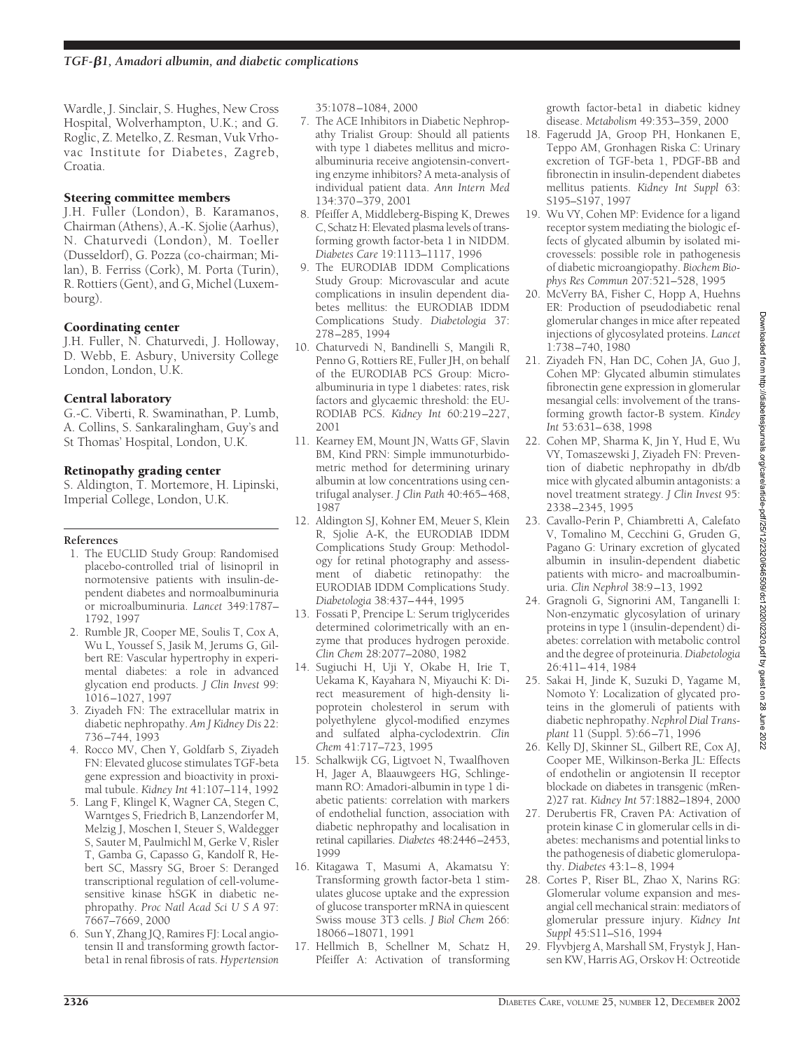Wardle, J. Sinclair, S. Hughes, New Cross Hospital, Wolverhampton, U.K.; and G. Roglic, Z. Metelko, Z. Resman, Vuk Vrhovac Institute for Diabetes, Zagreb, Croatia.

## Steering committee members

J.H. Fuller (London), B. Karamanos, Chairman (Athens), A.-K. Sjolie (Aarhus), N. Chaturvedi (London), M. Toeller (Dusseldorf), G. Pozza (co-chairman; Milan), B. Ferriss (Cork), M. Porta (Turin), R. Rottiers (Gent), and G, Michel (Luxembourg).

## Coordinating center

J.H. Fuller, N. Chaturvedi, J. Holloway, D. Webb, E. Asbury, University College London, London, U.K.

## Central laboratory

G.-C. Viberti, R. Swaminathan, P. Lumb, A. Collins, S. Sankaralingham, Guy's and St Thomas' Hospital, London, U.K.

## Retinopathy grading center

S. Aldington, T. Mortemore, H. Lipinski, Imperial College, London, U.K.

## **References**

- 1. The EUCLID Study Group: Randomised placebo-controlled trial of lisinopril in normotensive patients with insulin-dependent diabetes and normoalbuminuria or microalbuminuria. *Lancet* 349:1787– 1792, 1997
- 2. Rumble JR, Cooper ME, Soulis T, Cox A, Wu L, Youssef S, Jasik M, Jerums G, Gilbert RE: Vascular hypertrophy in experimental diabetes: a role in advanced glycation end products. *J Clin Invest* 99: 1016–1027, 1997
- 3. Ziyadeh FN: The extracellular matrix in diabetic nephropathy. *Am J Kidney Dis* 22: 736–744, 1993
- 4. Rocco MV, Chen Y, Goldfarb S, Ziyadeh FN: Elevated glucose stimulates TGF-beta gene expression and bioactivity in proximal tubule. *Kidney Int* 41:107–114, 1992
- 5. Lang F, Klingel K, Wagner CA, Stegen C, Warntges S, Friedrich B, Lanzendorfer M, Melzig J, Moschen I, Steuer S, Waldegger S, Sauter M, Paulmichl M, Gerke V, Risler T, Gamba G, Capasso G, Kandolf R, Hebert SC, Massry SG, Broer S: Deranged transcriptional regulation of cell-volumesensitive kinase hSGK in diabetic nephropathy. *Proc Natl Acad SciUSA* 97: 7667–7669, 2000
- 6. Sun Y, Zhang JQ, Ramires FJ: Local angiotensin II and transforming growth factorbeta1 in renal fibrosis of rats. *Hypertension*

35:1078–1084, 2000

- 7. The ACE Inhibitors in Diabetic Nephropathy Trialist Group: Should all patients with type 1 diabetes mellitus and microalbuminuria receive angiotensin-converting enzyme inhibitors? A meta-analysis of individual patient data. *Ann Intern Med* 134:370–379, 2001
- 8. Pfeiffer A, Middleberg-Bisping K, Drewes C, Schatz H: Elevated plasma levels of transforming growth factor-beta 1 in NIDDM. *Diabetes Care* 19:1113–1117, 1996
- 9. The EURODIAB IDDM Complications Study Group: Microvascular and acute complications in insulin dependent diabetes mellitus: the EURODIAB IDDM Complications Study. *Diabetologia* 37: 278–285, 1994
- 10. Chaturvedi N, Bandinelli S, Mangili R, Penno G, Rottiers RE, Fuller JH, on behalf of the EURODIAB PCS Group: Microalbuminuria in type 1 diabetes: rates, risk factors and glycaemic threshold: the EU-RODIAB PCS. *Kidney Int* 60:219–227, 2001
- 11. Kearney EM, Mount JN, Watts GF, Slavin BM, Kind PRN: Simple immunoturbidometric method for determining urinary albumin at low concentrations using centrifugal analyser. *J Clin Path* 40:465–468, 1987
- 12. Aldington SJ, Kohner EM, Meuer S, Klein R, Sjolie A-K, the EURODIAB IDDM Complications Study Group: Methodology for retinal photography and assessment of diabetic retinopathy: the EURODIAB IDDM Complications Study. *Diabetologia* 38:437–444, 1995
- 13. Fossati P, Prencipe L: Serum triglycerides determined colorimetrically with an enzyme that produces hydrogen peroxide. *Clin Chem* 28:2077–2080, 1982
- 14. Sugiuchi H, Uji Y, Okabe H, Irie T, Uekama K, Kayahara N, Miyauchi K: Direct measurement of high-density lipoprotein cholesterol in serum with polyethylene glycol-modified enzymes and sulfated alpha-cyclodextrin. *Clin Chem* 41:717–723, 1995
- 15. Schalkwijk CG, Ligtvoet N, Twaalfhoven H, Jager A, Blaauwgeers HG, Schlingemann RO: Amadori-albumin in type 1 diabetic patients: correlation with markers of endothelial function, association with diabetic nephropathy and localisation in retinal capillaries. *Diabetes* 48:2446–2453, 1999
- 16. Kitagawa T, Masumi A, Akamatsu Y: Transforming growth factor-beta 1 stimulates glucose uptake and the expression of glucose transporter mRNA in quiescent Swiss mouse 3T3 cells. *J Biol Chem* 266: 18066–18071, 1991
- 17. Hellmich B, Schellner M, Schatz H, Pfeiffer A: Activation of transforming

growth factor-beta1 in diabetic kidney disease. *Metabolism* 49:353–359, 2000

- 18. Fagerudd JA, Groop PH, Honkanen E, Teppo AM, Gronhagen Riska C: Urinary excretion of TGF-beta 1, PDGF-BB and fibronectin in insulin-dependent diabetes mellitus patients. *Kidney Int Suppl* 63: S195–S197, 1997
- 19. Wu VY, Cohen MP: Evidence for a ligand receptor system mediating the biologic effects of glycated albumin by isolated microvessels: possible role in pathogenesis of diabetic microangiopathy. *Biochem Biophys Res Commun* 207:521–528, 1995
- 20. McVerry BA, Fisher C, Hopp A, Huehns ER: Production of pseudodiabetic renal glomerular changes in mice after repeated injections of glycosylated proteins. *Lancet* 1:738–740, 1980
- 21. Ziyadeh FN, Han DC, Cohen JA, Guo J, Cohen MP: Glycated albumin stimulates fibronectin gene expression in glomerular mesangial cells: involvement of the transforming growth factor-B system. *Kindey Int* 53:631–638, 1998
- 22. Cohen MP, Sharma K, Jin Y, Hud E, Wu VY, Tomaszewski J, Ziyadeh FN: Prevention of diabetic nephropathy in db/db mice with glycated albumin antagonists: a novel treatment strategy. *J Clin Invest* 95: 2338–2345, 1995
- 23. Cavallo-Perin P, Chiambretti A, Calefato V, Tomalino M, Cecchini G, Gruden G, Pagano G: Urinary excretion of glycated albumin in insulin-dependent diabetic patients with micro- and macroalbuminuria. *Clin Nephrol* 38:9–13, 1992
- 24. Gragnoli G, Signorini AM, Tanganelli I: Non-enzymatic glycosylation of urinary proteins in type 1 (insulin-dependent) diabetes: correlation with metabolic control and the degree of proteinuria.*Diabetologia* 26:411–414, 1984
- 25. Sakai H, Jinde K, Suzuki D, Yagame M, Nomoto Y: Localization of glycated proteins in the glomeruli of patients with diabetic nephropathy.*Nephrol Dial Transplant* 11 (Suppl. 5):66–71, 1996
- 26. Kelly DJ, Skinner SL, Gilbert RE, Cox AJ, Cooper ME, Wilkinson-Berka JL: Effects of endothelin or angiotensin II receptor blockade on diabetes in transgenic (mRen-2)27 rat. *Kidney Int* 57:1882–1894, 2000
- 27. Derubertis FR, Craven PA: Activation of protein kinase C in glomerular cells in diabetes: mechanisms and potential links to the pathogenesis of diabetic glomerulopathy. *Diabetes* 43:1–8, 1994
- 28. Cortes P, Riser BL, Zhao X, Narins RG: Glomerular volume expansion and mesangial cell mechanical strain: mediators of glomerular pressure injury. *Kidney Int Suppl* 45:S11–S16, 1994
- 29. Flyvbjerg A, Marshall SM, Frystyk J, Hansen KW, Harris AG, Orskov H: Octreotide